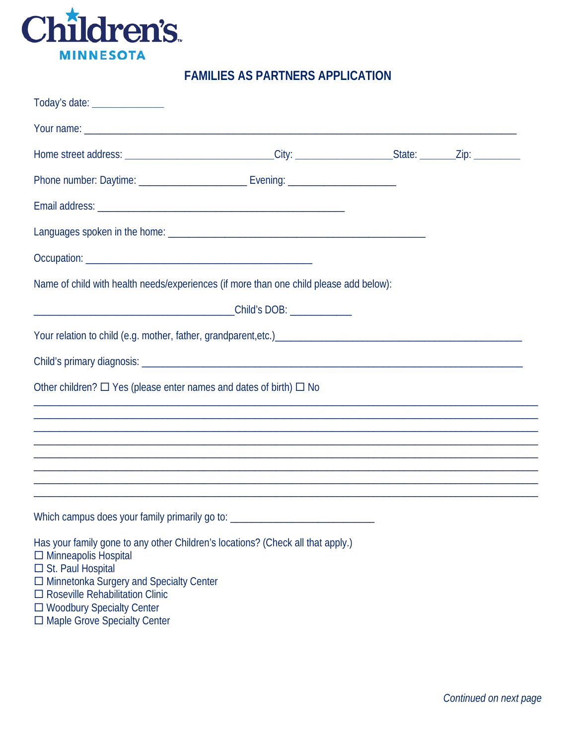

**FAMILIES AS PARTNERS APPLICATION**

| Today's date: ________________                                                                                                                                                                                                                                                                     |                                                                                                                                                                      |  |
|----------------------------------------------------------------------------------------------------------------------------------------------------------------------------------------------------------------------------------------------------------------------------------------------------|----------------------------------------------------------------------------------------------------------------------------------------------------------------------|--|
|                                                                                                                                                                                                                                                                                                    |                                                                                                                                                                      |  |
| Home street address: ______________________________City: _______________________State: __________Zip: ________                                                                                                                                                                                     |                                                                                                                                                                      |  |
|                                                                                                                                                                                                                                                                                                    |                                                                                                                                                                      |  |
|                                                                                                                                                                                                                                                                                                    |                                                                                                                                                                      |  |
|                                                                                                                                                                                                                                                                                                    |                                                                                                                                                                      |  |
|                                                                                                                                                                                                                                                                                                    |                                                                                                                                                                      |  |
| Name of child with health needs/experiences (if more than one child please add below):                                                                                                                                                                                                             |                                                                                                                                                                      |  |
|                                                                                                                                                                                                                                                                                                    |                                                                                                                                                                      |  |
| Your relation to child (e.g. mother, father, grandparent, etc.) [14] The Content of the Court relation to child (e.g. mother, father, grandparent, etc.)                                                                                                                                           |                                                                                                                                                                      |  |
|                                                                                                                                                                                                                                                                                                    |                                                                                                                                                                      |  |
| Other children? $\Box$ Yes (please enter names and dates of birth) $\Box$ No                                                                                                                                                                                                                       |                                                                                                                                                                      |  |
|                                                                                                                                                                                                                                                                                                    | ,我们就会在这里的人,我们就会在这里的人,我们就会在这里的人,我们就会在这里的人,我们就会在这里的人,我们就会在这里的人,我们就会在这里的人,我们就会在这里的人<br>第251章 我们的人,我们就会在这里的人,我们就会在这里的人,我们就会在这里的人,我们就会在这里的人,我们就会在这里的人,我们就会在这里的人,我们就会在这里的人 |  |
|                                                                                                                                                                                                                                                                                                    |                                                                                                                                                                      |  |
|                                                                                                                                                                                                                                                                                                    |                                                                                                                                                                      |  |
|                                                                                                                                                                                                                                                                                                    |                                                                                                                                                                      |  |
| Which campus does your family primarily go to: ______                                                                                                                                                                                                                                              |                                                                                                                                                                      |  |
| Has your family gone to any other Children's locations? (Check all that apply.)<br>$\Box$ Minneapolis Hospital<br>□ St. Paul Hospital<br>□ Minnetonka Surgery and Specialty Center<br>$\Box$ Roseville Rehabilitation Clinic<br>□ Woodbury Specialty Center<br>$\Box$ Maple Grove Specialty Center |                                                                                                                                                                      |  |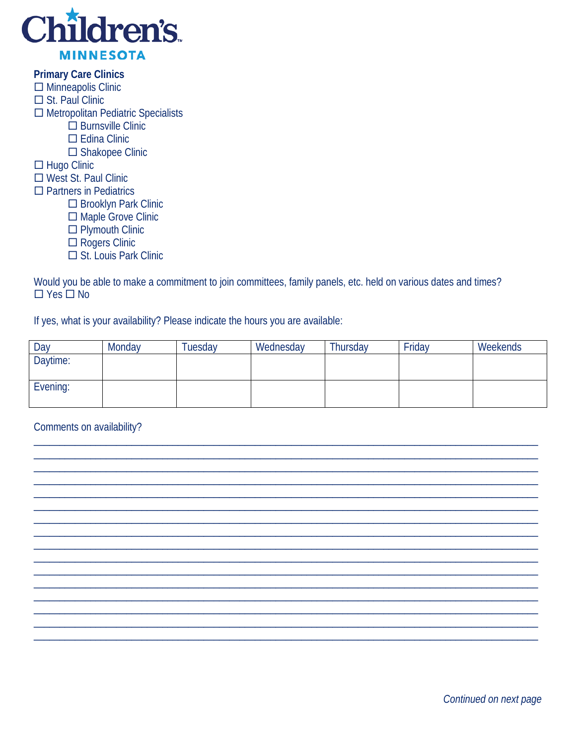

**Primary Care Clinics**  $\Box$  Minneapolis Clinic  $\Box$  St. Paul Clinic □ Metropolitan Pediatric Specialists  $\Box$  Burnsville Clinic  $\Box$  Edina Clinic  $\square$  Shakopee Clinic  $\Box$  Hugo Clinic □ West St. Paul Clinic  $\Box$  Partners in Pediatrics  $\Box$  Brooklyn Park Clinic □ Maple Grove Clinic  $\Box$  Plymouth Clinic  $\Box$  Rogers Clinic  $\Box$  St. Louis Park Clinic

Would you be able to make a commitment to join committees, family panels, etc. held on various dates and times?  $\Box$  Yes  $\Box$  No

If yes, what is your availability? Please indicate the hours you are available:

| Day      | Monday | Tuesday | Wednesday | Thursday | Friday | Weekends |
|----------|--------|---------|-----------|----------|--------|----------|
| Daytime: |        |         |           |          |        |          |
|          |        |         |           |          |        |          |
| Evening: |        |         |           |          |        |          |
|          |        |         |           |          |        |          |

Comments on availability?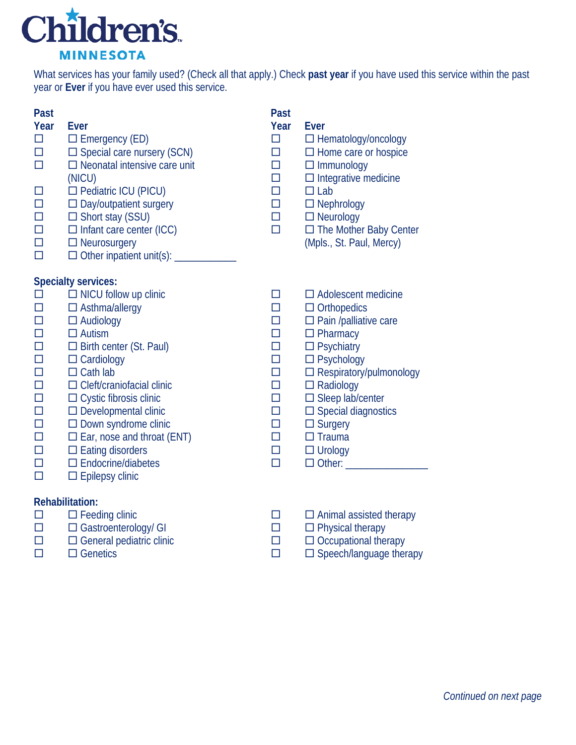## Children's **MINNESOTA**

What services has your family used? (Check all that apply.) Check **past year** if you have used this service within the past year or **Ever** if you have ever used this service.

| Past<br>Year<br>$\Box$<br>$\Box$<br>$\Box$          | Ever<br>$\Box$ Emergency (ED)<br>$\Box$ Special care nursery (SCN)<br>$\Box$ Neonatal intensive care unit                                                 | Past<br>Year<br>$\Box$<br>$\Box$<br>$\Box$     | <b>Ever</b><br>$\Box$ Hematology/oncology<br>$\Box$ Home care or hospice<br>$\Box$ Immunology                                                      |
|-----------------------------------------------------|-----------------------------------------------------------------------------------------------------------------------------------------------------------|------------------------------------------------|----------------------------------------------------------------------------------------------------------------------------------------------------|
| $\Box$<br>$\Box$<br>□<br>$\Box$<br>$\Box$<br>$\Box$ | (NICU)<br>□ Pediatric ICU (PICU)<br>$\Box$ Day/outpatient surgery<br>$\square$ Short stay (SSU)<br>$\Box$ Infant care center (ICC)<br>$\Box$ Neurosurgery | $\Box$<br>$\Box$<br>$\Box$<br>$\Box$<br>$\Box$ | $\square$ Integrative medicine<br>$\Box$ Lab<br>$\Box$ Nephrology<br>$\Box$ Neurology<br>$\Box$ The Mother Baby Center<br>(Mpls., St. Paul, Mercy) |
| $\Box$                                              | <b>Specialty services:</b><br>$\Box$ NICU follow up clinic                                                                                                | □                                              | $\Box$ Adolescent medicine                                                                                                                         |
| $\Box$                                              | $\Box$ Asthma/allergy                                                                                                                                     | $\Box$                                         | $\Box$ Orthopedics                                                                                                                                 |
| $\Box$<br>$\Box$                                    | $\Box$ Audiology<br>$\Box$ Autism                                                                                                                         | $\Box$<br>$\Box$                               | $\square$ Pain /palliative care<br>$\Box$ Pharmacy                                                                                                 |
| $\Box$                                              | $\Box$ Birth center (St. Paul)                                                                                                                            | $\Box$                                         | $\Box$ Psychiatry                                                                                                                                  |
| □                                                   | $\Box$ Cardiology                                                                                                                                         | $\Box$                                         | $\Box$ Psychology                                                                                                                                  |
| $\Box$                                              | $\Box$ Cath lab                                                                                                                                           | $\Box$                                         | $\Box$ Respiratory/pulmonology                                                                                                                     |
| $\Box$                                              | $\Box$ Cleft/craniofacial clinic                                                                                                                          | $\Box$                                         | $\Box$ Radiology                                                                                                                                   |
| $\Box$                                              | $\Box$ Cystic fibrosis clinic                                                                                                                             | $\Box$                                         | $\square$ Sleep lab/center                                                                                                                         |
| $\Box$                                              | $\Box$ Developmental clinic                                                                                                                               | $\Box$                                         | $\square$ Special diagnostics                                                                                                                      |
| $\Box$                                              | $\Box$ Down syndrome clinic                                                                                                                               | $\Box$                                         | $\Box$ Surgery                                                                                                                                     |
| $\Box$<br>$\Box$                                    | $\Box$ Ear, nose and throat (ENT)<br>$\square$ Eating disorders                                                                                           | $\Box$<br>$\Box$                               | $\Box$ Trauma<br>$\Box$ Urology                                                                                                                    |
| $\Box$                                              | $\Box$ Endocrine/diabetes                                                                                                                                 | $\Box$                                         | $\Box$ Other:                                                                                                                                      |
| $\Box$                                              | $\Box$ Epilepsy clinic                                                                                                                                    |                                                |                                                                                                                                                    |
|                                                     | <b>Rehabilitation:</b>                                                                                                                                    |                                                |                                                                                                                                                    |

- 
- □ □ Gastroenterology/ GI □ □ □ Physical therapy
- 
- 
- $\Box$   $\Box$  Feeding clinic  $\Box$   $\Box$  Animal assisted therapy  $\Box$   $\Box$  Animal assisted therapy  $\Box$   $\Box$  Physical therapy
	-
- General pediatric clinic Occupational therapy
- $\square$   $\square$  Genetics  $\square$   $\square$  Speech/language therapy